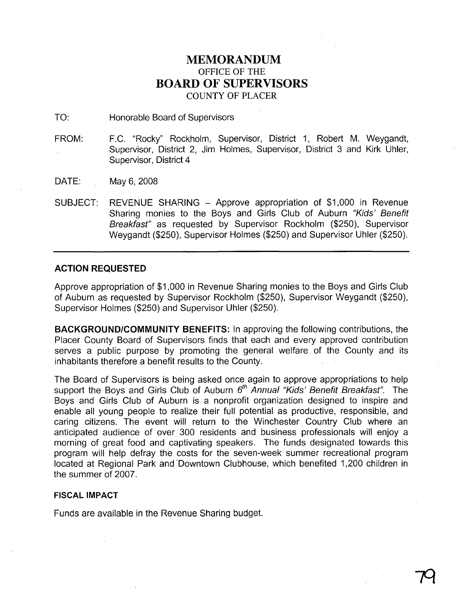# **MEMORANDUM** OFFICE OF THE **BOARD OF SUPERVISORS** COUNTY OF PLACER

TO: Honorable Board of Supervisors

FROM: F.C. "Rocky" Rockholm, Supervisor, District 1, Robert M. Weygandt, Supervisor, District 2, Jim Holmes, Supervisor, District 3 and Kirk Uhler, Supervisor, District 4

DATE: May 6, 2008

SUBJECT: REVENUE SHARING - Approve appropriation of \$1,000 in Revenue Sharing monies to the Boys and Girls Club of Auburn "Kids' Benefit Breakfast" as requested by Supervisor Rockholm (\$250), Supervisor Weygandt (\$250), Supervisor Holmes (\$250) and Supervisor Uhler (\$250).

## **ACTION REQUESTED**

Approve appropriation of \$1,000 in Revenue Sharing monies to the Boys and Girls Club of Auburn as requested by Supervisor Rockholm (\$250), Supervisor Weygandt (\$250), Supervisor Holmes (\$250) and Supervisor Uhler (\$250).

**BACKGROUND/COMMUNITY BENEFITS:** In approving the following contributions, the Placer County Board of Supervisors finds that each and every approved contribution serves a public purpose by promoting the general welfare of the County and its inhabitants therefore a benefit results to the County.

The Board of Supervisors is being asked once again to approve appropriations to help support the Boys and Girls Club of Auburn  $6<sup>th</sup>$  Annual "Kids' Benefit Breakfast". The Boys and Girls Club of Auburn is a nonprofit organization designed to inspire and enable all young people to realize their full potential as productive, responsible, and caring citizens. The event will return to the Winchester Country Club where an anticipated audience of over 300 residents and business professionals will enjoy a morning of great food and captivating speakers. The funds designated towards this program will help defray the costs for the seven-week summer recreational program located at Regional Park and 'Downtown Clubhouse, which benefited 1,200 children in the summer of 2007.

## **FISCAL IMPACT**

Funds are available in the Revenue Sharing budget.